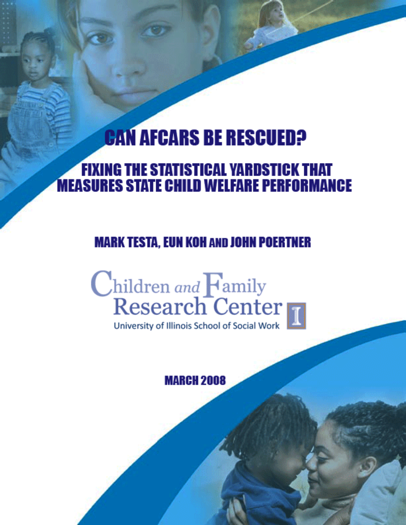# **CAN AFCARS BE RESCUED?**

# **FIXING THE STATISTICAL YARDSTICK THAT MEASURES STATE CHILD WELFARE PERFORMANCE**

# **MARK TESTA, EUN KOH AND JOHN POERTNER**

# Children and Family<br>Research Center

University of Illinois School of Social Work

# **MARCH 2008**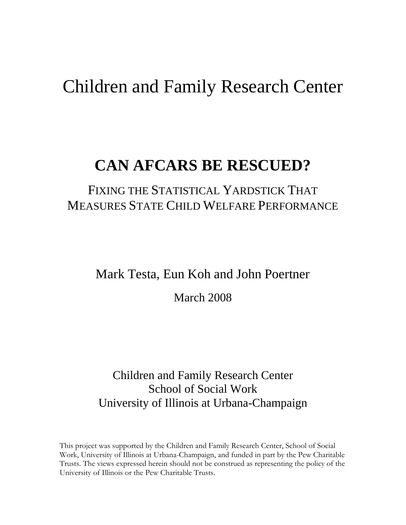# Children and Family Research Center

# **CAN AFCARS BE RESCUED?**

# FIXING THE STATISTICAL YARDSTICK THAT MEASURES STATE CHILD WELFARE PERFORMANCE

## Mark Testa, Eun Koh and John Poertner

March 2008

## Children and Family Research Center School of Social Work University of Illinois at Urbana-Champaign

This project was supported by the Children and Family Research Center, School of Social Work, University of Illinois at Urbana-Champaign, and funded in part by the Pew Charitable Trusts. The views expressed herein should not be construed as representing the policy of the University of Illinois or the Pew Charitable Trusts.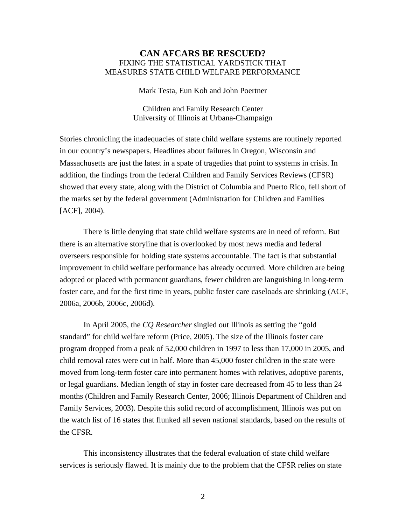#### **CAN AFCARS BE RESCUED?**  FIXING THE STATISTICAL YARDSTICK THAT MEASURES STATE CHILD WELFARE PERFORMANCE

Mark Testa, Eun Koh and John Poertner

Children and Family Research Center University of Illinois at Urbana-Champaign

Stories chronicling the inadequacies of state child welfare systems are routinely reported in our country's newspapers. Headlines about failures in Oregon, Wisconsin and Massachusetts are just the latest in a spate of tragedies that point to systems in crisis. In addition, the findings from the federal Children and Family Services Reviews (CFSR) showed that every state, along with the District of Columbia and Puerto Rico, fell short of the marks set by the federal government (Administration for Children and Families [ACF], 2004).

There is little denying that state child welfare systems are in need of reform. But there is an alternative storyline that is overlooked by most news media and federal overseers responsible for holding state systems accountable. The fact is that substantial improvement in child welfare performance has already occurred. More children are being adopted or placed with permanent guardians, fewer children are languishing in long-term foster care, and for the first time in years, public foster care caseloads are shrinking (ACF, 2006a, 2006b, 2006c, 2006d).

In April 2005, the *CQ Researcher* singled out Illinois as setting the "gold standard" for child welfare reform (Price, 2005). The size of the Illinois foster care program dropped from a peak of 52,000 children in 1997 to less than 17,000 in 2005, and child removal rates were cut in half. More than 45,000 foster children in the state were moved from long-term foster care into permanent homes with relatives, adoptive parents, or legal guardians. Median length of stay in foster care decreased from 45 to less than 24 months (Children and Family Research Center, 2006; Illinois Department of Children and Family Services, 2003). Despite this solid record of accomplishment, Illinois was put on the watch list of 16 states that flunked all seven national standards, based on the results of the CFSR.

 This inconsistency illustrates that the federal evaluation of state child welfare services is seriously flawed. It is mainly due to the problem that the CFSR relies on state

2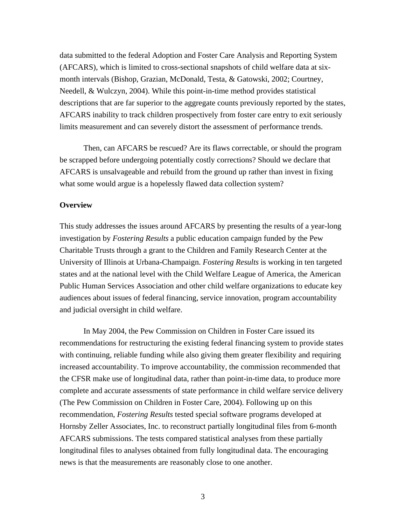data submitted to the federal Adoption and Foster Care Analysis and Reporting System (AFCARS), which is limited to cross-sectional snapshots of child welfare data at sixmonth intervals (Bishop, Grazian, McDonald, Testa, & Gatowski, 2002; Courtney, Needell, & Wulczyn, 2004). While this point-in-time method provides statistical descriptions that are far superior to the aggregate counts previously reported by the states, AFCARS inability to track children prospectively from foster care entry to exit seriously limits measurement and can severely distort the assessment of performance trends.

Then, can AFCARS be rescued? Are its flaws correctable, or should the program be scrapped before undergoing potentially costly corrections? Should we declare that AFCARS is unsalvageable and rebuild from the ground up rather than invest in fixing what some would argue is a hopelessly flawed data collection system?

#### **Overview**

This study addresses the issues around AFCARS by presenting the results of a year-long investigation by *Fostering Results* a public education campaign funded by the Pew Charitable Trusts through a grant to the Children and Family Research Center at the University of Illinois at Urbana-Champaign. *Fostering Results* is working in ten targeted states and at the national level with the Child Welfare League of America, the American Public Human Services Association and other child welfare organizations to educate key audiences about issues of federal financing, service innovation, program accountability and judicial oversight in child welfare.

In May 2004, the Pew Commission on Children in Foster Care issued its recommendations for restructuring the existing federal financing system to provide states with continuing, reliable funding while also giving them greater flexibility and requiring increased accountability. To improve accountability, the commission recommended that the CFSR make use of longitudinal data, rather than point-in-time data, to produce more complete and accurate assessments of state performance in child welfare service delivery (The Pew Commission on Children in Foster Care, 2004). Following up on this recommendation, *Fostering Results* tested special software programs developed at Hornsby Zeller Associates, Inc. to reconstruct partially longitudinal files from 6-month AFCARS submissions. The tests compared statistical analyses from these partially longitudinal files to analyses obtained from fully longitudinal data. The encouraging news is that the measurements are reasonably close to one another.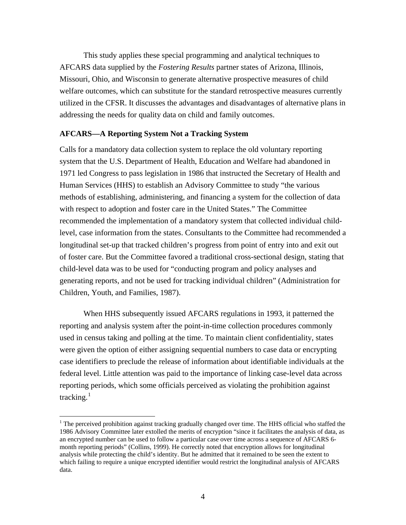This study applies these special programming and analytical techniques to AFCARS data supplied by the *Fostering Results* partner states of Arizona, Illinois, Missouri, Ohio, and Wisconsin to generate alternative prospective measures of child welfare outcomes, which can substitute for the standard retrospective measures currently utilized in the CFSR. It discusses the advantages and disadvantages of alternative plans in addressing the needs for quality data on child and family outcomes.

#### **AFCARS—A Reporting System Not a Tracking System**

Calls for a mandatory data collection system to replace the old voluntary reporting system that the U.S. Department of Health, Education and Welfare had abandoned in 1971 led Congress to pass legislation in 1986 that instructed the Secretary of Health and Human Services (HHS) to establish an Advisory Committee to study "the various methods of establishing, administering, and financing a system for the collection of data with respect to adoption and foster care in the United States." The Committee recommended the implementation of a mandatory system that collected individual childlevel, case information from the states. Consultants to the Committee had recommended a longitudinal set-up that tracked children's progress from point of entry into and exit out of foster care. But the Committee favored a traditional cross-sectional design, stating that child-level data was to be used for "conducting program and policy analyses and generating reports, and not be used for tracking individual children" (Administration for Children, Youth, and Families, 1987).

 When HHS subsequently issued AFCARS regulations in 1993, it patterned the reporting and analysis system after the point-in-time collection procedures commonly used in census taking and polling at the time. To maintain client confidentiality, states were given the option of either assigning sequential numbers to case data or encrypting case identifiers to preclude the release of information about identifiable individuals at the federal level. Little attention was paid to the importance of linking case-level data across reporting periods, which some officials perceived as violating the prohibition against tracking. $<sup>1</sup>$  $<sup>1</sup>$  $<sup>1</sup>$ </sup>

1

<span id="page-4-0"></span> $1$  The perceived prohibition against tracking gradually changed over time. The HHS official who staffed the 1986 Advisory Committee later extolled the merits of encryption "since it facilitates the analysis of data, as an encrypted number can be used to follow a particular case over time across a sequence of AFCARS 6 month reporting periods" (Collins, 1999). He correctly noted that encryption allows for longitudinal analysis while protecting the child's identity. But he admitted that it remained to be seen the extent to which failing to require a unique encrypted identifier would restrict the longitudinal analysis of AFCARS data.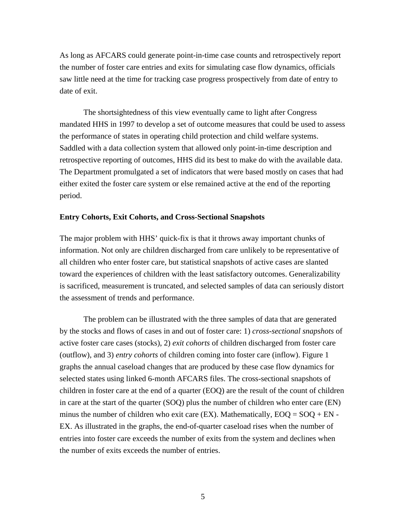As long as AFCARS could generate point-in-time case counts and retrospectively report the number of foster care entries and exits for simulating case flow dynamics, officials saw little need at the time for tracking case progress prospectively from date of entry to date of exit.

The shortsightedness of this view eventually came to light after Congress mandated HHS in 1997 to develop a set of outcome measures that could be used to assess the performance of states in operating child protection and child welfare systems. Saddled with a data collection system that allowed only point-in-time description and retrospective reporting of outcomes, HHS did its best to make do with the available data. The Department promulgated a set of indicators that were based mostly on cases that had either exited the foster care system or else remained active at the end of the reporting period.

#### **Entry Cohorts, Exit Cohorts, and Cross-Sectional Snapshots**

The major problem with HHS' quick-fix is that it throws away important chunks of information. Not only are children discharged from care unlikely to be representative of all children who enter foster care, but statistical snapshots of active cases are slanted toward the experiences of children with the least satisfactory outcomes. Generalizability is sacrificed, measurement is truncated, and selected samples of data can seriously distort the assessment of trends and performance.

The problem can be illustrated with the three samples of data that are generated by the stocks and flows of cases in and out of foster care: 1) *cross-sectional snapshots* of active foster care cases (stocks), 2) *exit cohorts* of children discharged from foster care (outflow), and 3) *entry cohorts* of children coming into foster care (inflow). Figure 1 graphs the annual caseload changes that are produced by these case flow dynamics for selected states using linked 6-month AFCARS files. The cross-sectional snapshots of children in foster care at the end of a quarter (EOQ) are the result of the count of children in care at the start of the quarter (SOQ) plus the number of children who enter care (EN) minus the number of children who exit care  $(EX)$ . Mathematically,  $EOQ = SOQ + EN -$ EX. As illustrated in the graphs, the end-of-quarter caseload rises when the number of entries into foster care exceeds the number of exits from the system and declines when the number of exits exceeds the number of entries.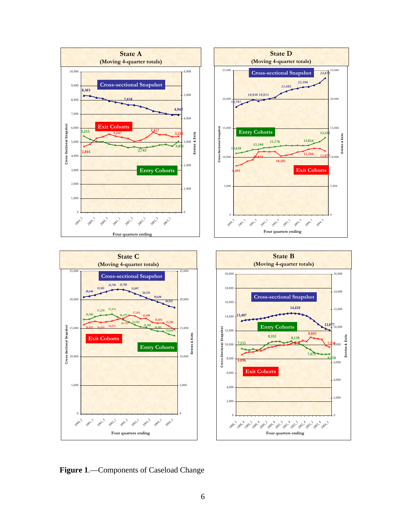







**Figure 1**.—Components of Caseload Change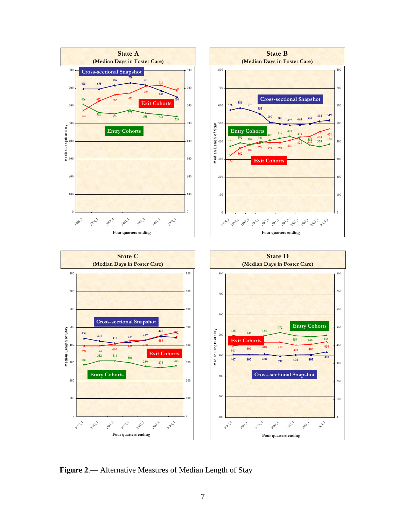

**Figure 2**.— Alternative Measures of Median Length of Stay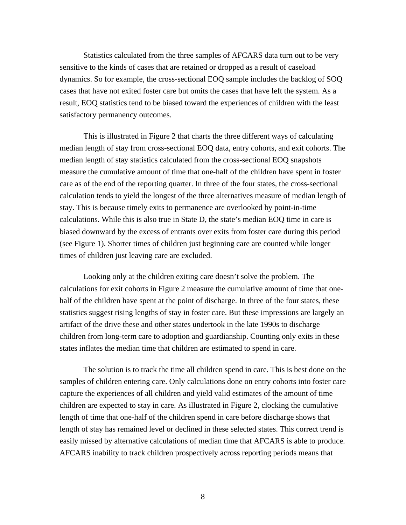Statistics calculated from the three samples of AFCARS data turn out to be very sensitive to the kinds of cases that are retained or dropped as a result of caseload dynamics. So for example, the cross-sectional EOQ sample includes the backlog of SO Q cases that have not exited foster care but omits the cases that have left the system. A s a result, EOQ statistics tend to be biased toward the experiences of children with the least satisfactory permanency outcomes.

This is illustrated in Figure 2 that charts the three different ways of calculating median length of stay from cross-sectional EOQ data, entry cohorts, and exit cohorts. The median length of stay statistics calculated from the cross-sectional EOQ snapshots biased downward by the excess of entrants over exits from foster care during this period (see Figure 1). Shorter times of children just beginning care are counted while longer times of children just leaving care are excluded. measure the cumulative amount of time that one-half of the children have spent in foster care as of the end of the reporting quarter. In three of the four states, the cross-sectional calculation tends to yield the longest of the three alternatives measure of median length of stay. This is because timely exits to permanence are overlooked by point-in-time calculations. While this is also true in State D, the state's median EOQ time in care is

half of the children have spent at the point of discharge. In three of the four states, these children from long-term care to adoption and guardianship. Counting only exits in these Looking only at the children exiting care doesn't solve the problem. The calculations for exit cohorts in Figure 2 measure the cumulative amount of time that onestatistics suggest rising lengths of stay in foster care. But these impressions are largely an artifact of the drive these and other states undertook in the late 1990s to discharge states inflates the median time that children are estimated to spend in care.

 The solution is to track the time all children spend in care. This is best done on the samples of children entering care. Only calculations done on entry cohorts into foster care capture the experiences of all children and yield valid estimates of the amount of time length of stay has remained level or declined in these selected states. This correct trend is easily missed by alternative calculations of median time that AFCARS is able to produce. children are expected to stay in care. As illustrated in Figure 2, clocking the cumulative length of time that one-half of the children spend in care before discharge shows that AFCARS inability to track children prospectively across reporting periods means that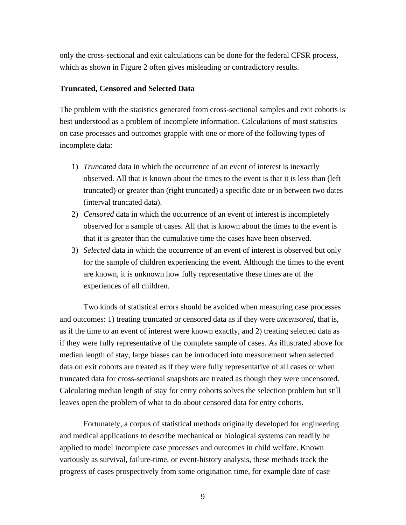only the cross-sectional and exit calculations can be done for the federal CFSR process, which as shown in Figure 2 often gives misleading or contradictory results.

#### **Truncated, Censored and Selected Data**

on case processes and outcomes grapple with one or more of the following types of The problem with the statistics generated from cross-sectional samples and exit cohorts is best understood as a problem of incomplete information. Calculations of most statistics incomplete data:

- 1) *Truncated* data in which the occurrence of an event of interest is inexactly observed. All that is known about the times to the event is that it is less than (left truncated) or greater than (right truncated) a specific date or in between two dates (interval truncated data).
- 2) *Censored* data in which the occurrence of an event of interest is incompletely observed for a sample of cases. All that is known about the times to the event is that it is greater than the cumulative time the cases have been observed.
- for the sample of children experiencing the event. Although the times to the event are known, it is unknown how fully representative these times are of the 3) *Selected* data in which the occurrence of an event of interest is observed but only experiences of all children.

Two kinds of statistical errors should be avoided when measuring case processes as as if the time to an event of interest were known exactly, and 2) treating selected data and outcomes: 1) treating truncated or censored data as if they were *uncensored*, that is, if they were fully representative of the complete sample of cases. As illustrated above for median length of stay, large biases can be introduced into measurement when selected data on exit cohorts are treated as if they were fully representative of all cases or when truncated data for cross-sectional snapshots are treated as though they were uncensored. Calculating median length of stay for entry cohorts solves the selection problem but still leaves open the problem of what to do about censored data for entry cohorts.

Fortunately, a corpus of statistical methods originally developed for engineering and medical applications to describe mechanical or biological systems can readily be applied to model incomplete case processes and outcomes in child welfare. Known variously as survival, failure-time, or event-history analysis, these methods track the progress of cases prospectively from some origination time, for example date of case

9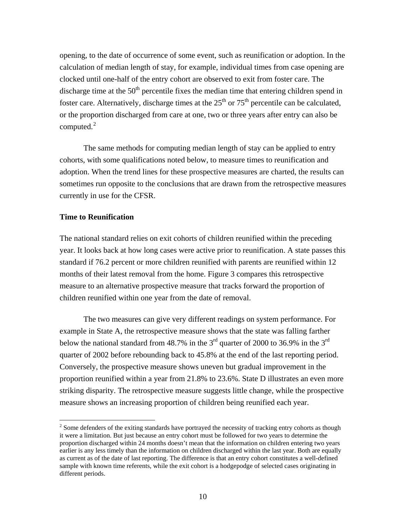opening, to the date of occurrence of some event, such as reunification or adoption. In th e calculation of median length of stay, for example, individual times from case opening are clocked until one-half of the entry cohort are observed to exit from foster care. The discharge time at the  $50<sup>th</sup>$  percentile fixes the median time that entering children spend in foster care. Alternatively, discharge times at the  $25<sup>th</sup>$  or  $75<sup>th</sup>$  percentile can be calculated, or the proportion discharged from care at one, two or three years after entry can also be computed. $2$ 

adoption. When the trend lines for these prospective measures are charted, the results can sometimes run opposite to the conclusions that are drawn from the retrospective measures The same methods for computing median length of stay can be applied to entry cohorts, with some qualifications noted below, to measure times to reunification and currently in use for the CFSR.

#### **Time to Reunification**

<u>.</u>

year. It looks back at how long cases were active prior to reunification. A state passes this The national standard relies on exit cohorts of children reunified within the preceding standard if 76.2 percent or more children reunified with parents are reunified within 12 months of their latest removal from the home. Figure 3 compares this retrospective measure to an alternative prospective measure that tracks forward the proportion of children reunified within one year from the date of removal.

 The two measures can give very different readings on system performance. For exampl e in State A, the retrospective measure shows that the state was falling farther quarter of 2002 before rebounding back to 45.8% at the end of the last reporting period. Conversely, the prospective measure shows uneven but gradual improvement in the proportion reunified within a year from 21.8% to 23.6%. State D illustrates an even more striking disparity. The retrospective measure suggests little change, while the prospective below the national standard from 48.7% in the  $3<sup>rd</sup>$  quarter of 2000 to 36.9% in the  $3<sup>rd</sup>$ measure shows an increasing proportion of children being reunified each year.

 $2^{2}$  Some defenders of the exiting standards have portrayed the necessity of tracking entry cohorts as though it were a limitation. But just because an entry cohort must be followed for two years to determine the proportion discharged within 24 months doesn't mean that the information on children entering two years earlier is any less timely than the information on children discharged within the last year. Both are equally as current as of the date of last reporting. The difference is that an entry cohort constitutes a well-defined sample with known time referents, while the exit cohort is a hodgepodge of selected cases originating in different periods.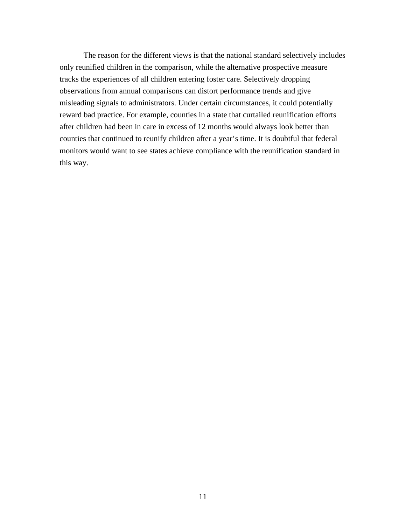The reason for the different views is that the national standard selectively includes only reunified children in the comparison, while the alternative prospective measure tracks the experiences of all children entering foster care. Selectively dropping observations from annual comparisons can distort performance trends and give misleading signals to administrators. Under certain circumstances, it could potentially reward bad practice. For example, counties in a state that curtailed reunification efforts after children had been in care in excess of 12 months would always look better than counties that continued to reunify children after a year's time. It is doubtful that federal monitors would want to see states achieve compliance with the reunification standard in this way.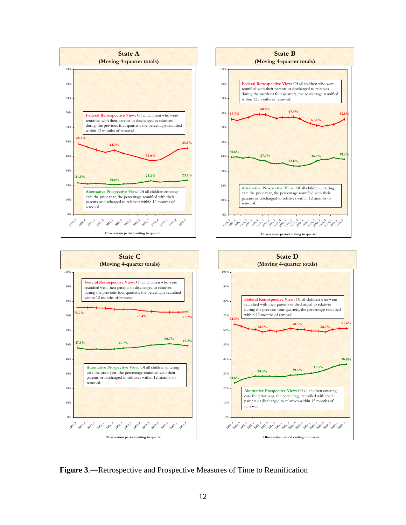

**Figure 3**.—Retrospective and Prospective Measures of Time to Reunification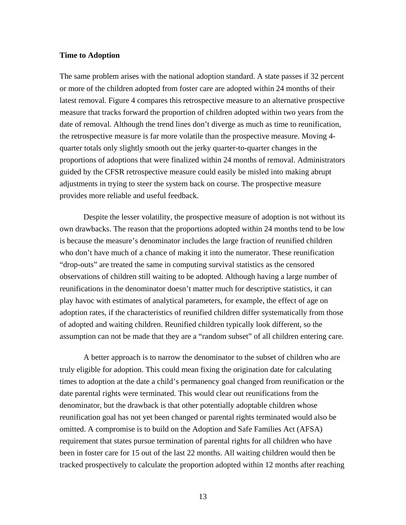#### **Time to Adoption**

The same problem arises with the national adoption standard. A state passes if 32 percent or more of the children adopted from foster care are adopted within 24 months of their latest removal. Figure 4 compares this retrospective measure to an alternative prospective measure that tracks forward the proportion of children adopted within two years from the date of removal. Although the trend lines don't diverge as much as time to reunification, the retrospective measure is far more volatile than the prospective measure. Moving 4 quarter totals only slightly smooth out the jerky quarter-to-quarter changes in the proportions of adoptions that were finalized within 24 months of removal. Administrators guided by the CFSR retrospective measure could easily be misled into making abrupt adjustments in trying to steer the system back on course. The prospective measure provides more reliable and useful feedback.

 Despite the lesser volatility, the prospective measure of adoption is not without its own drawbacks. The reason that the proportions adopted within 24 months tend to be low is because the measure's denominator includes the large fraction of reunified children who don't have much of a chance of making it into the numerator. These reunification "drop-outs" are treated the same in computing survival statistics as the censored observations of children still waiting to be adopted. Although having a large number of reunifications in the denominator doesn't matter much for descriptiv e statistics, it can play havoc with estimates of analytical parameters, for example, the effect of age on adoption rates, if the characteristics of reunified children differ systematically from those of adopted and waiting children. Reunified children typically look different, so the assumption can not be made that they are a "random subset" of all children entering care.

A better approach is to narrow the denominator to the subset of children who are truly eligible for adoption. This could mean fixing the origination date for calculating times to adoption at the date a child's permanency goal changed from reunification or the date parental rights were terminated. This would clear out reunifications from the denominator, but the drawback is that other potentially adoptable children whose reunification goal has not yet been changed or parental rights terminated would also be omitted. A compromise is to build on the Adoption and Safe Families Act (AFSA) requirement that states pursue termination of parental rights for all children who have been in foster care for 15 out of the last 22 months. All waiting children would then be tracked prospectively to calculate the proportion adopted within 12 months after reaching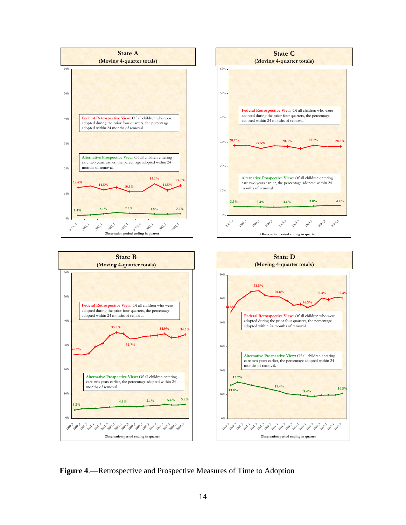

**Figure 4**.—Retrospective and Prospective Measures of Time to Adoption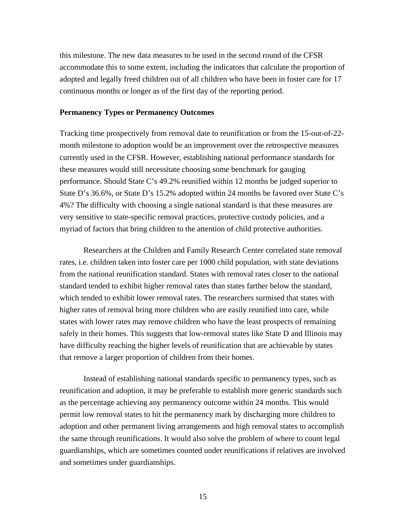this milestone. The new data measures to be used in the second round of the CFSR accommodate this to some extent, including the indicators that calculate the proportion of adopted and legally freed children out of all children who have been in foster care for 17 continuous months or longer as of the first day of the reporting period.

#### **Permanency Types or Permanency Outcomes**

Tracking time prospectively from removal date to reunification or from the 15-out-of-22 month milestone to adoption would be an improvement over the retrospective measures currently used in the CFSR. However, establishing national performance standards for these measures would still necessitate choosing some benchmark for gauging performance. Should State C's 49.2% reunified within 12 months be judged superior to State D's 36.6%, or State D's 15.2% adopted within 24 months be favored over State C's 4%? The difficulty with choosing a single national standard is that these measures are very sensitive to state-specific removal practices, protective custody policies, and a myriad of factors that bring children to the attention of child protective authorities.

Researchers at the Children and Family Research Center correlated state removal rates, i.e. children taken into foster care per 1000 child population, with state deviations from the national reunification standard. States with removal rates closer to the national standard tended to exhibit higher removal rates than states farther below the standard, which tended to exhibit lower removal rates. The researchers surmised that states with higher rates of removal bring more children who are easily reunified into care, while states with lower rates may remove children who have the least prospects of remaining safely in their homes. This suggests that low-removal states like State D and Illinois may have difficulty reaching the higher levels of reunification that are achievable by states that remove a larger proportion of children from their homes.

Instead of establishing national standards specific to permanency types, such as reunification and adoption, it may be preferable to establish more generic standards such as the percentage achieving any permanency outcome within 24 months. This would permit low removal states to hit the permanency mark by discharging more children to adoption and other permanent living arrangements and high removal states to accomplish the same through reunifications. It would also solve the problem of where to count legal guardianships, which are sometimes counted under reunifications if relatives are involved and sometimes under guardianships.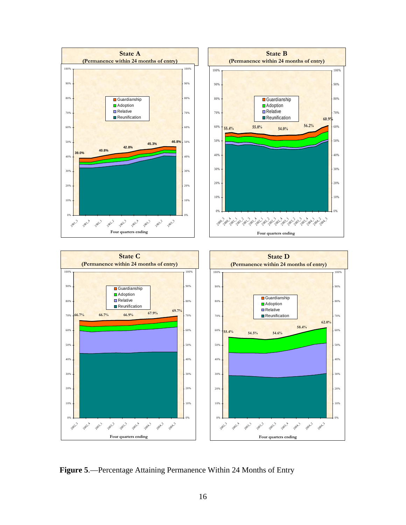

**Figure 5**.—Percentage Attaining Permanence Within 24 Months of Entry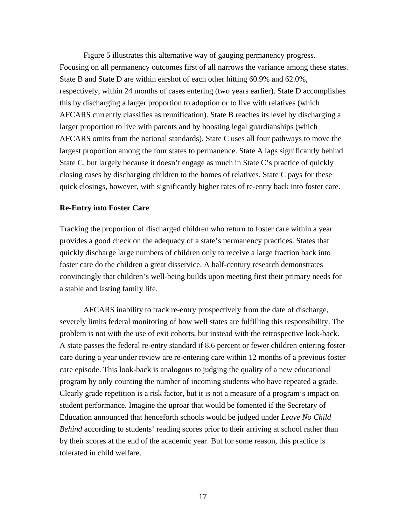Figure 5 illustrates this alternative way of gaug ing permanency progress. Focusing on all permanency outcomes first of all narrows the variance among these states. State B and State D are within earshot of each other hitting 60.9% and 62.0%, respectively, within 24 months of cases entering (two y ears earlier). State D accomplishes this by discharging a larger proportion to adoption or t o live with relatives (which AFCARS currently classifies as reunification). State B reaches its level by discharging a larger proportion to live with parents and by boosting legal guardianships (which  $AFCARS$  omits from the national standards). State  $C$  uses all four pathways to move the largest proportion among the four states to permanence . State A lags significantly behind State C, but largely because it doesn't engage as much in State C's practice of quickly closing cases by discharging children to the homes of r elatives. State C pays for these quick closings, however, with significantly higher rate s of re-entry back into foster care.

#### **Re-Entry into Foster Care**

Tracking the proportion of discharged children who re turn to foster care within a year provides a good check on the adequacy of a state's per manency practices. States that quickly discharge large numbers of children only to re ceive a large fraction back into foster care do the children a great disservice. A half-century research demonstrates convincingly that children's well-being builds upon meeting first their primary needs for a stable and lasting family life.

AFCARS inability to track re-entry prospectively from the date of discharge, severely limits federal monitoring of how well states are fulfilling this responsibility. The problem is not with the use of exit cohorts, but instead with the retrospective look-back. A state passes the federal re-entry standard if 8.6 percent or fewer children entering foster care during a year under review are re-entering care within 12 months of a previous foster care episode. This look-back is analogous to judging th e quality of a new educational . program by only counting the number of incoming students who have repeated a grade Education announced that henceforth schools would be judged under *Leave No Child* Behind according to students' reading scores prior to their arriving at school rather than by their scores at the end of the academic year. But for some reason, this practice is tolerate d in child welfare. Clearly grade repetition is a risk factor, but it is not a measure of a program's impact on student performance. Imagine the uproar that would be fomented if the Secretary of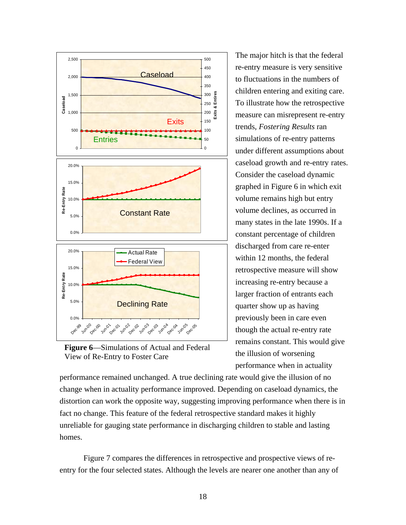



The major hitch is that the federal re-entry measure is very sensitive to fluctuations in the numbers of children entering and exiting care. To illustrate how the retrospective measure c an misrepresent re-entry trends, *Fostering Results* ran simulations of re-entry patterns under different assump tions about caseload growth and re-entry rates. Consider the caseload dynamic graphed in Figure 6 in which exit volume remains high but entry volume declines, as occurred in many states in the late 1990s. If a constant percentage of children discharged from care re-enter within 12 months, the federal retrospective measure will show increasing re-entry because a larger fraction of entrants each quarter show up as having previously been in care even though the actual re-entry rate remains constant. This would give the illusion of worsening performance when in actuality

distortion can work the opposite way, suggesting improving performance when there is in performance remained unchanged. A true declining rate would give the illusion of no change when in actuality performance improved. Depending on caseload dynamics, the fact no change. This feature of the federal retrospective standard makes it highly unreliable for gauging state performance in discharging children to stable and lasting homes.

Figure 7 compares the differences in retrospective and prospective views of re entry for the four selected states. Although the levels are nearer one another than any of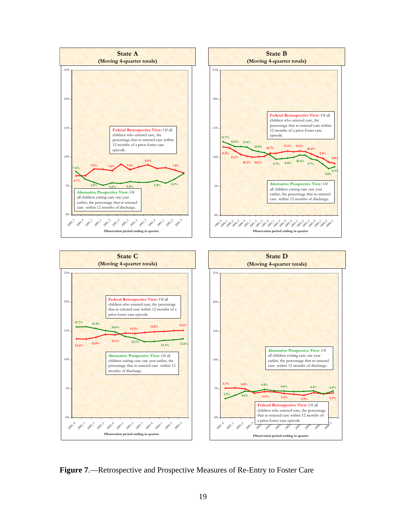

**Figure 7**.—Retrospective and Prospective Measures of Re-Entry to Foster Care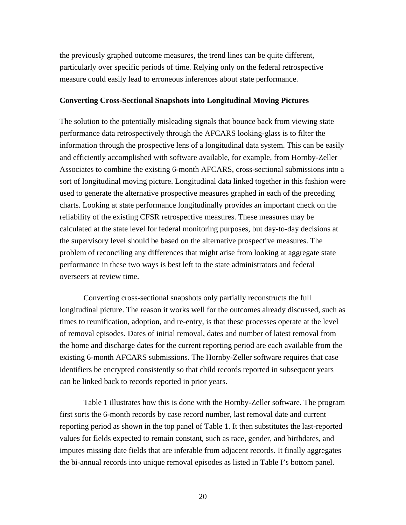the previously graphed outcome measures, the trend lines can be quite different, particularly over specific periods of time. Relying only on the federal retrospective measure could easily lead to erroneous inferences about state performance.

#### **Converting Cross-Sectional Snapshots into Longitudinal Moving Pictures**

The solution to the potentially misleading signals that bounce back from viewing state performance data retrospectively through the AFCARS looking-glass is to filter the information through the prospective lens of a longitudinal data system. This can be easily and efficiently accomplished with software available, for example, from Hornby-Zeller Associates to combine the existing 6-month AFCARS, cross-sectional submissions into a sort of longitudinal moving picture. Longitudinal data linked together in this fashion were used to generate the alternative prospective measures graphed in each of the preceding charts. Looking at state performance longitudinally provides an important check on the reliability of the existing CFSR retrospective measures. These measures may be calculated at the state level for federal monitoring purposes, but day-to-day decisions at the supervisory level should be based on the alternative prospective measures. The problem of reconciling any differences that might arise from looking at aggregate state performance in these two ways is best left to the state administrators and federal overseers at review time.

Converting cross-sectional snapshots only partially reconstructs the full longitudinal picture. The reason it works well for the outcomes already discussed, such as times to reunification, adoption, and re-entry, is that these processes operate at the level of removal episodes. Dates of initial removal, dates and number of latest removal from the home and discharge dates for the current reporting period are each available from the existing 6-month AFCARS submissions. The Hornby-Zeller software requires that case identifiers be encrypted consistently so that child records reported in subsequent years can be linked back to records reported in prior years.

Table 1 illustrates how this is done with the Hornby-Zeller software. The program first sorts the 6-month records by case record number, last removal date and current reporting period as shown in the top panel of Table 1. It then substitutes the last-reported values for fields expected to remain constant, such as race, gender, and birthdates, and imputes missing date fields that are inferable from adjacent records. It finally aggregates the bi-annual records into unique removal episodes as listed in Table I's bottom panel.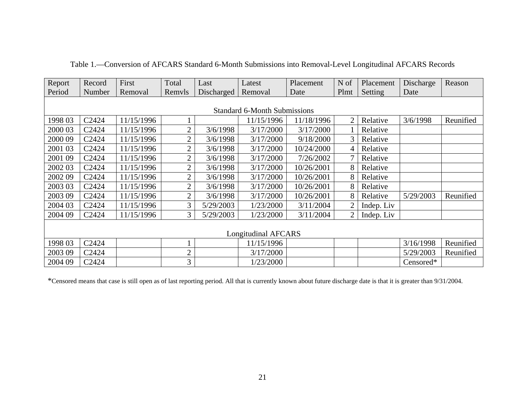| Report                              | Record | First      | Total          | Last       | Latest     | Placement  | N of           | Placement  | Discharge | Reason    |
|-------------------------------------|--------|------------|----------------|------------|------------|------------|----------------|------------|-----------|-----------|
| Period                              | Number | Removal    | Remvls         | Discharged | Removal    | Date       | Plmt           | Setting    | Date      |           |
|                                     |        |            |                |            |            |            |                |            |           |           |
| <b>Standard 6-Month Submissions</b> |        |            |                |            |            |            |                |            |           |           |
| 1998 03                             | C2424  | 11/15/1996 |                |            | 11/15/1996 | 11/18/1996 | $\overline{2}$ | Relative   | 3/6/1998  | Reunified |
| 2000 03                             | C2424  | 11/15/1996 | $\overline{2}$ | 3/6/1998   | 3/17/2000  | 3/17/2000  |                | Relative   |           |           |
| 2000 09                             | C2424  | 11/15/1996 | $\overline{2}$ | 3/6/1998   | 3/17/2000  | 9/18/2000  | 3              | Relative   |           |           |
| 2001 03                             | C2424  | 11/15/1996 | $\mathbf{2}$   | 3/6/1998   | 3/17/2000  | 10/24/2000 | 4              | Relative   |           |           |
| 2001 09                             | C2424  | 11/15/1996 | $\overline{2}$ | 3/6/1998   | 3/17/2000  | 7/26/2002  | 7              | Relative   |           |           |
| 2002 03                             | C2424  | 11/15/1996 | $\overline{2}$ | 3/6/1998   | 3/17/2000  | 10/26/2001 | 8              | Relative   |           |           |
| 2002 09                             | C2424  | 11/15/1996 | $\overline{2}$ | 3/6/1998   | 3/17/2000  | 10/26/2001 | 8              | Relative   |           |           |
| 2003 03                             | C2424  | 11/15/1996 | $\overline{2}$ | 3/6/1998   | 3/17/2000  | 10/26/2001 | 8              | Relative   |           |           |
| 2003 09                             | C2424  | 11/15/1996 | $\overline{2}$ | 3/6/1998   | 3/17/2000  | 10/26/2001 | 8              | Relative   | 5/29/2003 | Reunified |
| 2004 03                             | C2424  | 11/15/1996 | 3              | 5/29/2003  | 1/23/2000  | 3/11/2004  | 2              | Indep. Liv |           |           |
| 2004 09                             | C2424  | 11/15/1996 | 3              | 5/29/2003  | 1/23/2000  | 3/11/2004  | $\overline{2}$ | Indep. Liv |           |           |
|                                     |        |            |                |            |            |            |                |            |           |           |
| <b>Longitudinal AFCARS</b>          |        |            |                |            |            |            |                |            |           |           |
| 1998 03                             | C2424  |            |                |            | 11/15/1996 |            |                |            | 3/16/1998 | Reunified |
| 2003 09                             | C2424  |            | $\overline{2}$ |            | 3/17/2000  |            |                |            | 5/29/2003 | Reunified |
| 2004 09                             | C2424  |            | 3              |            | 1/23/2000  |            |                |            | Censored* |           |

|  |  | Table 1.—Conversion of AFCARS Standard 6-Month Submissions into Removal-Level Longitudinal AFCARS Records |  |
|--|--|-----------------------------------------------------------------------------------------------------------|--|
|  |  |                                                                                                           |  |

\*Censored means that case is still open as of last reporting period. All that is currently known about future discharge date is that it is greater than 9/31/2004.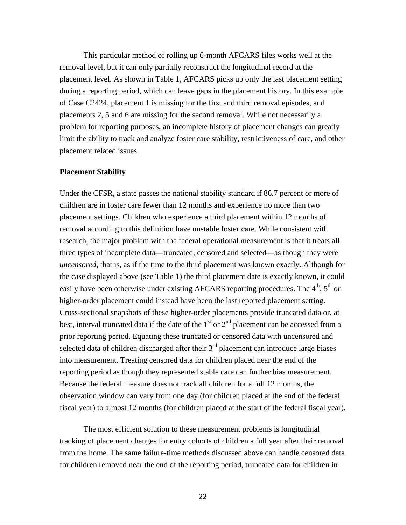This particular method of rolling up 6-month AFCARS files works well at the removal level, but it can only partially reconstruct the longitudinal record at the placement level. As shown in Table 1, AFCARS picks up only the last placement setting during a reporting period, which can leave gaps in the placement history. In this example problem for reporting purposes, an incomplete history of placement changes can greatly of Case C2424, placement 1 is missing for the first and third removal episodes, and placements 2, 5 and 6 are missing for the second removal. While not necessarily a limit the ability to track and analyze foster care stability, restrictiveness of care, and other placement related issues.

#### **Placement Stability**

Under the CFSR, a state passes the national stability standard if 86.7 percent or more of children are in foster care fewer than 12 months and experience no more than two placement settings. Children who experience a third placement within 12 months of removal according to this definition have unstable foster care. While consistent with research, the major problem with the federal operational measurement is that it treats all *uncensored*, that is, as if the time to the third placement was known exactly. Although for the case displayed above (see Table 1) the third placement date is exactly known, it could easily have been otherwise under existing AFCARS reporting procedures. The  $4<sup>th</sup>$ ,  $5<sup>th</sup>$  or prior reporting period. Equating these truncated or censored data with uncensored and selected data of children discharged after their  $3<sup>rd</sup>$  placement can introduce large biases three types of incomplete data—truncated, censored and selected—as though they were higher-order placement could instead have been the last reported placement setting. Cross-sectional snapshots of these higher-order placements provide truncated data or, at best, interval truncated data if the date of the  $1<sup>st</sup>$  or  $2<sup>nd</sup>$  placement can be accessed from a into measurement. Treating censored data for children placed near the end of the reporting period as though they represented stable care can further bias measurement. Because the federal measure does not track all children for a full 12 months, the observation window can vary from one day (for children placed at the end of the federal fiscal year) to almost 12 months (for children placed at the start of the federal fiscal year).

from the home. The same failure-time methods discussed above can handle censored data for children removed near the end of the reporting period, truncated data for children in The most efficient solution to these measurement problems is longitudinal tracking of placement changes for entry cohorts of children a full year after their removal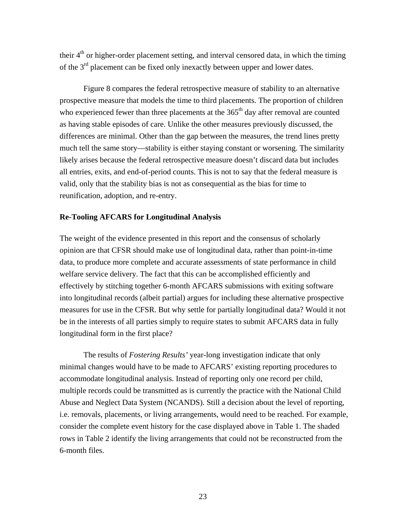their  $4<sup>th</sup>$  or higher-order placement setting, and interval censored data, in which the timing of the  $3<sup>rd</sup>$  placement can be fixed only inexactly between upper and lower dates.

Figure 8 compares the federal retrospective measure of stability to an alternative prospective measure that models the time to third placements. The proportion of children who experienced fewer than three placements at the  $365<sup>th</sup>$  day after removal are counted as having stable episodes of care. Unlike the other measures previously discussed, the differences are minimal. Other than the gap between the measures, the trend lines pretty much tell the same story—stability is either staying constant or worsening. The similarity likely arises because the federal retrospective measure doesn't discard data but includes all entries, exits, and end-of-period counts. This is not to say that the federal measure is valid, only that the stability bias is not as consequential as the bias for time to reunification, adoption, and re-entry.

#### **Re-Tooling AFCARS for Longitudinal Analysis**

The weight of the evidence presented in this report and the consensus of scholarly opinion are that CFSR should make use of longitudinal data, rather than point-in-time data, to produce more complete and accurate assessments of state performance in child welfare service delivery. The fact that this can be accomplished efficiently and effectively by stitching together 6-month AFCARS submissions with exiting software into longitudinal records (albeit partial) argues for including these alternative prospective measures for use in the CFSR. But why settle for partially longitudinal data? Would it not be in the interests of all parties simply to require states to submit AFCARS data in fully longitudinal form in the first place?

 The results of *Fostering Results'* year-long investigation indicate that only minimal changes would have to be made to AFCARS' existing reporting procedures to accommodate longitudinal analysis. Instead of reporting only one record per child, multiple records could be transmitted as is currently the practice with the National Child Abuse and Neglect Data System (NCANDS). Still a decision about the level of reporting, i.e. removals, placements, or living arrangements, would need to be reached. For example, consider the complete event history for the case displayed above in Table 1. The shaded rows in Table 2 identify the living arrangements that could not be reconstructed from the 6-month files.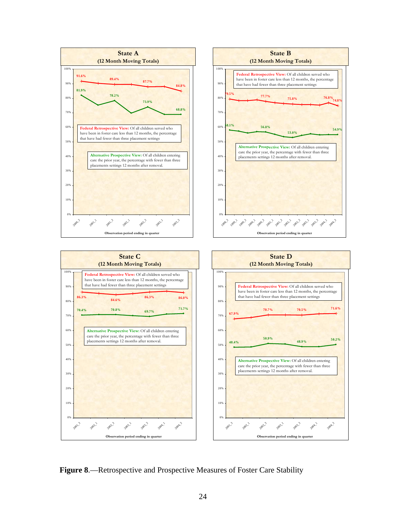

**Figure 8**.—Retrospective and Prospective Measures of Foster Care Stability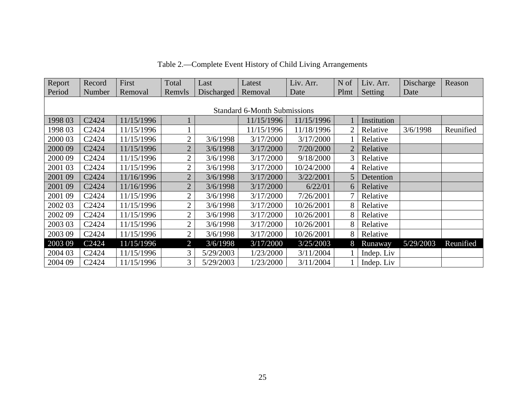| Report                              | Record            | First      | Total          | Last       | Latest     | Liv. Arr.  | N of           | Liv. Arr.   | Discharge | Reason    |
|-------------------------------------|-------------------|------------|----------------|------------|------------|------------|----------------|-------------|-----------|-----------|
| Period                              | Number            | Removal    | Remvls         | Discharged | Removal    | Date       | Plmt           | Setting     | Date      |           |
|                                     |                   |            |                |            |            |            |                |             |           |           |
| <b>Standard 6-Month Submissions</b> |                   |            |                |            |            |            |                |             |           |           |
| 1998 03                             | C2424             | 11/15/1996 |                |            | 11/15/1996 | 11/15/1996 |                | Institution |           |           |
| 1998 03                             | C2424             | 11/15/1996 |                |            | 11/15/1996 | 11/18/1996 | $\overline{2}$ | Relative    | 3/6/1998  | Reunified |
| 2000 03                             | C2424             | 11/15/1996 | $\overline{2}$ | 3/6/1998   | 3/17/2000  | 3/17/2000  |                | Relative    |           |           |
| 2000 09                             | C2424             | 11/15/1996 | $\overline{2}$ | 3/6/1998   | 3/17/2000  | 7/20/2000  | $\overline{2}$ | Relative    |           |           |
| 2000 09                             | C2424             | 11/15/1996 | $\overline{2}$ | 3/6/1998   | 3/17/2000  | 9/18/2000  | 3              | Relative    |           |           |
| 2001 03                             | C <sub>2424</sub> | 11/15/1996 | $\overline{2}$ | 3/6/1998   | 3/17/2000  | 10/24/2000 | 4              | Relative    |           |           |
| 2001 09                             | C2424             | 11/16/1996 | $\overline{2}$ | 3/6/1998   | 3/17/2000  | 3/22/2001  | 5              | Detention   |           |           |
| 2001 09                             | C2424             | 11/16/1996 | $\overline{2}$ | 3/6/1998   | 3/17/2000  | 6/22/01    | 6              | Relative    |           |           |
| 2001 09                             | C <sub>2424</sub> | 11/15/1996 | $\overline{2}$ | 3/6/1998   | 3/17/2000  | 7/26/2001  | 7              | Relative    |           |           |
| 2002 03                             | C <sub>2424</sub> | 11/15/1996 | $\overline{2}$ | 3/6/1998   | 3/17/2000  | 10/26/2001 | 8              | Relative    |           |           |
| 2002 09                             | C2424             | 11/15/1996 | $\overline{2}$ | 3/6/1998   | 3/17/2000  | 10/26/2001 | 8              | Relative    |           |           |
| 2003 03                             | C2424             | 11/15/1996 | $\overline{2}$ | 3/6/1998   | 3/17/2000  | 10/26/2001 | 8              | Relative    |           |           |
| 2003 09                             | C <sub>2424</sub> | 11/15/1996 | $\overline{2}$ | 3/6/1998   | 3/17/2000  | 10/26/2001 | 8              | Relative    |           |           |
| 2003 09                             | C2424             | 11/15/1996 | $\overline{2}$ | 3/6/1998   | 3/17/2000  | 3/25/2003  | 8              | Runaway     | 5/29/2003 | Reunified |
| 2004 03                             | C <sub>2424</sub> | 11/15/1996 | 3              | 5/29/2003  | 1/23/2000  | 3/11/2004  |                | Indep. Liv  |           |           |
| 2004 09                             | C2424             | 11/15/1996 | 3              | 5/29/2003  | 1/23/2000  | 3/11/2004  |                | Indep. Liv  |           |           |

Table 2.—Complete Event History of Child Living Arrangements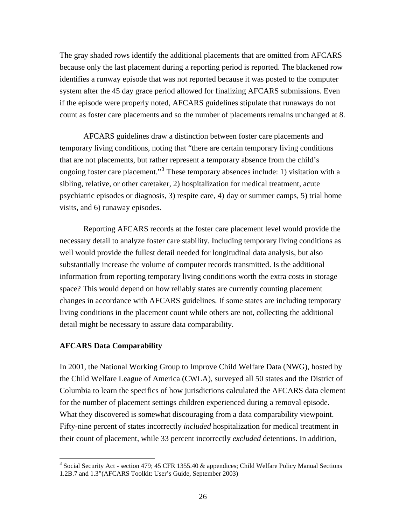The gray shaded rows identify the additional placements that are omitted from AFCARS because only the last placement during a reporting period is reported. The blackened row identifies a runway episode that was not reported because it was posted to the com puter system after the 45 day grace per iod allowed for finalizing AFCARS submissions. Even if the episode were properly noted, AFCARS guidelines stipulate that runaways do not count as foster care placements and so the number of placements remains unchanged at 8.

temporary living conditions, noting that "there are certain temporary living conditions ongoing foster care placement."<sup>3</sup> These temporary absences include: 1) visitation with a sibling, relative, or other caretaker, 2) hospitalization for medical treatment, acute psychiatric episodes or diagnosis, 3) respite care, 4) day or summer camps, 5) trial home AFCARS guidelines draw a distinction between foster care placements and that are not placements, but rather represent a temporary absence from the child's visits, and 6) runaway episodes.

Reporting AFCARS records at the foster care placement level would provide the necessary detail to analyze foster care stability. Including temporary living conditions as changes in accordance with AFCARS guidelines. If some states are including temporary living conditions in the placement count while others are not, collecting the additional detail m ight be necessary to assure data comparability. well would provide the fullest detail needed for longitudinal data analysis, but also substantially increase the volume of computer records transmitted. Is the additional information from reporting temporary living conditions worth the extra costs in storage space? This would depend on how reliably states are currently counting placement

#### **AFCARS Data Comparability**

1

the Child Welfare League of America (CWLA), surveyed all 50 states and the District of What they discovered is somewhat discouraging from a data comparability viewpoint. Fifty-nine percent of states incorrectly *included* hospitalization for medical treatment in their count of placement, while 33 percent incorrectly *excluded* detentions. In addition, In 2001, the National Working Group to Improve Child Welfare Data (NWG), hosted by Columbia to learn the specifics of how jurisdictions calculated the AFCARS data element for the number of placement settings children experienced during a removal episode.

<sup>&</sup>lt;sup>3</sup> Social Security Act - section 479; 45 CFR 1355.40 & appendices; Child Welfare Policy Manual Sections 1.2B.7 and 1.3"(AFCARS Toolkit: User's Guide, September 2003)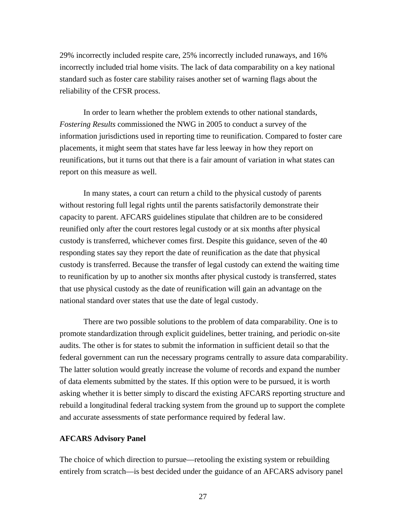29% incorrectly included respite care, 25% incorrectly included runaways, and 16 % incorrectly included trial home visits. The lack of data comparability on a key national standard such as foster care stability raises another set of warning flags about the reliability of the CFSR process.

 In order to learn whether the problem extends to other national standards , *Fostering Results* commissioned the NWG in 2005 to conduct a survey of the information jurisdictions used in reporting time to reunification. Compared to f oster care placements, it might seem that states have far less leeway in how they report on reunifications, but it turns out that there is a fair amount of variation in what states can report on this measure as well.

custody is transferred. Because the transfer of legal custody can extend the waiting time to reunification by up to another six months after physical custody is transferred, states In many states, a court can return a child to the physical custody of parents without restoring full legal rights until the parents satisfactorily demonstrate their capacity to parent. AFCARS guidelines stipulate that children are to be considered reunified only after the court restores legal custody or at six months after physical custody is transferred, whichever comes first. Despite this guidance, seven of the 40 responding states say they report the date of reunification as the date that physical that use physical custody as the date of reunification will gain an advantage on the national standard over states that use the date of legal custody.

There are two possible solutions to the problem of data comparability. One is to promote standardization through explicit guidelines, better training, and periodic on-site audits. The other is for states to submit the information in sufficient detail so that the federal government can run the necessary programs centrally to assure data comparability. The latter solution would greatly increase the volume of records and expand the number of data elements submitted by the states. If this option were to be pursued, it is worth asking whether it is better simply to discard the existing AFCARS reporting structure and rebuild a longitudinal federal tracking system from the ground up to support the complete and accurate assessments of state performance required by federal law.

#### **AFCARS Advisory Panel**

The choice of which direction to pursue—retooling the existing system or rebuilding entirely from scratch—is best decided under the guidance of an AFCARS advisory panel

27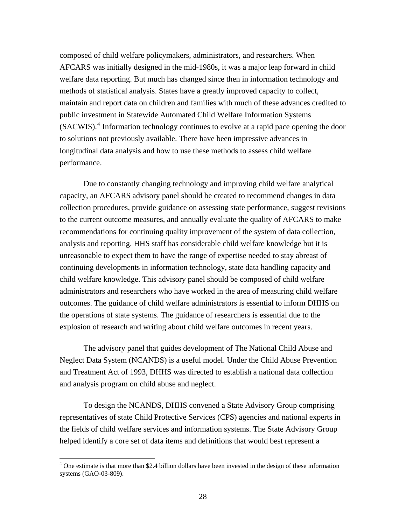composed of child welfare policymakers, administrators, and researchers. When AFCARS was initially designed in the mid-1980s, it was a major leap forward in c hild welfare data reporting. But much has changed since then in information technology and methods of statistical analysis. States have a greatly improved capacity to collect, maintain and report data on children and families with much of these advances credited to (SACWIS).<sup>4</sup> Information technology continues to evolve at a rapid pace opening the door to solutions not previously available. There have been impressive advances in longitudinal data analysis and how to use these methods to assess child welfare public investment in Statewide Automated Child Welfare Information Systems performance.

to the current outcome measures, and annually evaluate the quality of AFCARS to make recommendations for continuing quality improvement of the system of data collection, analysi s and reporting. HHS staff has considerable child welfare knowledge but it is unreasonable to expect them to have the range of expertise needed to stay abreast of administrators and researchers who have worked in the area of measuring child welfare outcomes. The guidance of child welfare administrators is essential to inform DHHS on the operations of state systems. The guidance of researchers is essential due to the explosi on of research and writing about child welfare outcomes in recent years. Due to constantly changing technology and improving child welfare analytical capacity, an AFCARS advisory panel should be created to recommend changes in data collection procedures, provide guidance on assessing state performance, suggest revisions continuing developments in information technology, state data handling capacity and child welfare knowledge. This advisory panel should be composed of child welfare

Neglect Data System (NCANDS) is a useful model. Under the Child Abuse Prevention The advisory panel that guides development of The National Child Abuse and and Treatment Act of 1993, DHHS was directed to establish a national data collection and analysis program on child abuse and neglect.

representatives of state Child Protective Services (CPS) agencies and national experts in the fields of child welfare services and information systems. The State Advisory Group helped identify a core set of data items and definitions that would best represent a To design the NCANDS, DHHS convened a State Advisory Group comprising

 $\overline{a}$ 

<sup>&</sup>lt;sup>4</sup> One estimate is that more than \$2.4 billion dollars have been invested in the design of these information systems (GAO-03-809).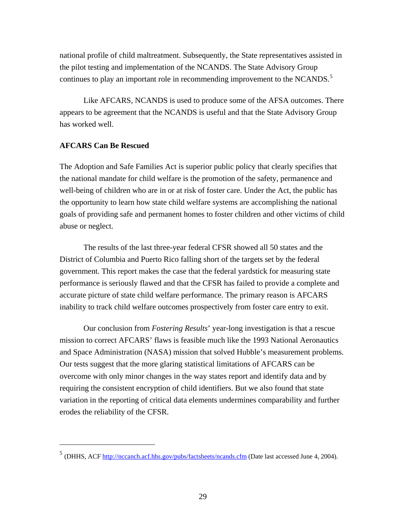nationa l profile of child maltreatment. Subsequently, the State representatives assisted in the pilot testing and implementation of the NCANDS. The State Advisory Group continues to play an important role in recommending improvement to the NCANDS.<sup>5</sup>

appears to be agreement that the NCANDS is useful and that the State Advisory Group Like AFCARS, NCANDS is used to produce some of the AFSA outcomes. There has worked well.

#### **AFCARS Can Be Rescued**

 $\overline{a}$ 

The Adoption and Safe Families Act is superior public policy that clearly specifies that the national mandate for child welfare is the promotion of the safety, permanence and well-being of children who are in or at risk of foster care. Under the Act, the public has the opportunity to learn how state child welfare systems are accomplishing the national goals of providing safe and permanent homes to foster children and other victims of child abuse or neglect.

The results of the last three-year federal CFSR showed all 50 states and the District of Columbia and Puerto Rico falling short of the targets set by the federal government. This report makes the case that the federal yardstick for measuring state performance is seriously flawed and that the CFSR has failed to provide a complete and accurate picture of state child welfare performance. The primary reason is AFCARS inability to track child welfare outcomes prospectively from foster care entry to exit.

Our conclusion from *Fostering Results*' year-long investigation is that a rescue mission to correct AFCARS' flaws is feasible much like the 1993 National Aeronautics and Space Administration (NASA) mission that solved Hubble's measurement problems. Our tests suggest that the more glaring statistical limitations of AFCARS can be overcome with only minor changes in the way states report and identify data and by requiring the consistent encryption of child identifiers. But we also found that state variation in the reporting of critical data elements undermines comparability and further erodes the reliability of the CFSR.

<sup>5</sup> (DHHS, ACF http://nccanch.acf.hhs.gov/pubs/factsheets/ncands.cfm (Date last accessed June 4, 2004).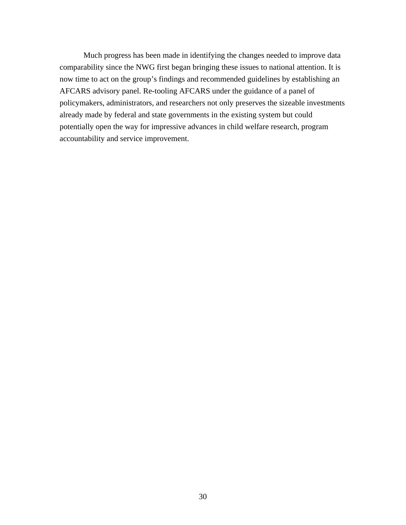Much progress has been made in identifying the changes needed to improve data comparability since the NWG first began bringing these issues to national attention. It is AFCARS advisory panel. Re-tooling AFCARS under the guidance of a panel of policym akers, administrators, and researchers not only preserves the sizeable investments already made by federal and state governments in the existing system but could now time to act on the group's findings and recommended guidelines by establishing an potentially open the way for impressive advances in child welfare research, program accountability and service improvement.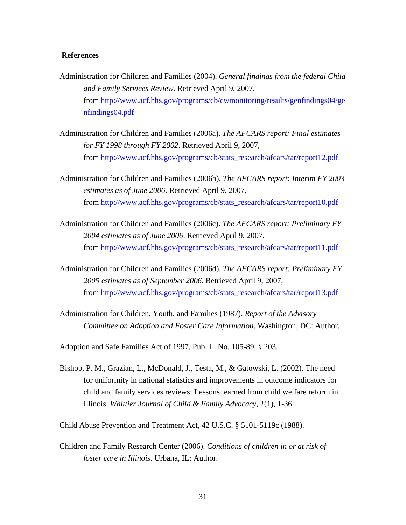#### **References**

- Administration for Children and Families (2004). *General findings from the federal Child*  from http://www.acf.hhs.gov/programs/cb/cwmonitoring/results/genfindings04/ge *and Family Services Review*. Retrieved April 9, 2007, nfindings04.pdf
- Administration for Children and Families (2006a). *The AFCARS report: Final estimates for FY 1998 through FY 2002*. Retrieved April 9, 200 7, from http://www.acf.hhs.gov/programs/cb/stats\_research/afcars/tar/report12.pdf
- Admin istration for Children and Families (2006b). *The AFCARS report: Interim FY 2003*  from http://www.acf.hhs.gov/programs/cb/stats\_research/afcars/tar/report10.pdf *estimates as of June 2006*. Retrieved April 9, 2007,
- Administration for Children and Families (2006c). *The AFCARS report: Preliminary FY 2004 estimates as of June 2006*. Retrieved April 9, 2007, from [http://www.acf.hhs.gov/programs/cb/stats\\_research/afcars/tar/report11.pdf](http://www.state.il.us/dcfs/docs/SignsProg.pdf)
- Admin[istration for Children and Families \(2006d\).](http://www.state.il.us/dcfs/docs/SignsProg.pdf) *The AFCARS report: Preliminary FY 2005 estimates as of September 2006*. Retrieved April 9, 2007, from [http://www.acf.hhs.gov/programs/cb/stats\\_research/afcars/tar/report13.pdf](http://library.cqpress.com/cqresearcher/cqresrre2005042201)
- Admi[nistration for Children, Youth, and Families \(1987\).](http://library.cqpress.com/cqresearcher/cqresrre2005042201) *Report of the Advisory Committee on Adoption and Foster Care Information*. Washington, DC: Author.

Adopti on and Safe Families Act of 1997, Pub. L. No. 105-89, § 203.

child and family services reviews: Lessons learned from child welfare reform in Illinois. *Whittier Journal of Child & Family Advocacy, 1*(1), 1-36. Bishop, P. M., Grazian, L., McDonald, J., Testa, M., & Gatowski, L. (2002). The need for uniformity in national statistics and improvements in outcome indicators for

Child Abuse Prevention and Treatment Act, 42 U.S.C. § 5101-5119c (1988).

Children and Family Research Center (2006). *Conditions of children in or at risk of foster care in Illinois*. Urbana, IL: Author.